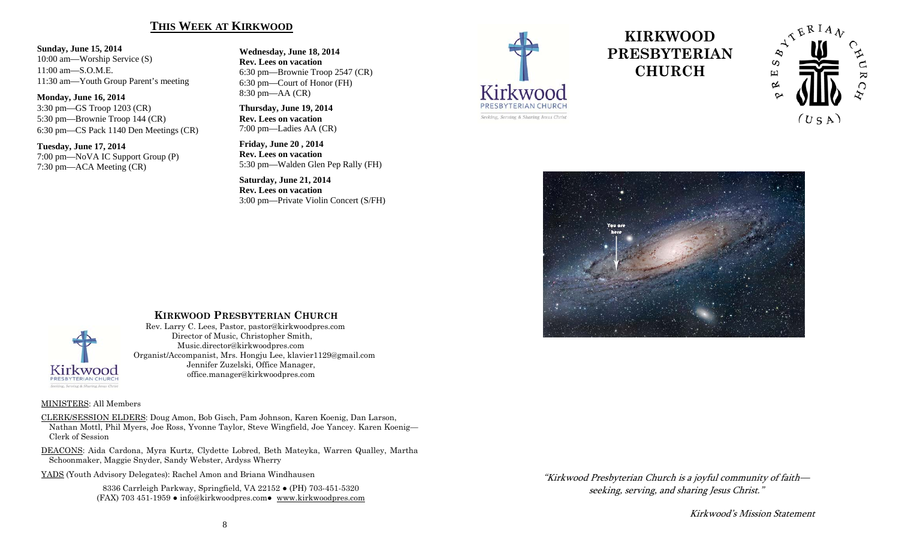### **THIS WEEK AT KIRKWOOD**

#### **Sunday, June 15, 2014**

10:00 am—Worship Service (S) 11:00 am—S.O.M.E. 11:30 am—Youth Group Parent's meeting

#### **Monday, June 16, 2014**

3:30 pm—GS Troop 1203 (CR) 5:30 pm—Brownie Troop 144 (CR) 6:30 pm—CS Pack 1140 Den Meetings (CR)

#### **Tuesday, June 17, 2014**

7:00 pm—NoVA IC Support Group (P) 7:30 pm—ACA Meeting (CR)

**Wednesday, June 18, 2014 Rev. Lees on vacation** 6:30 pm—Brownie Troop 2547 (CR) 6:30 pm—Court of Honor (FH) 8:30 pm—AA (CR)

**Thursday, June 19, 2014 Rev. Lees on vacation** 7:00 pm—Ladies AA (CR)

**Friday, June 20 , 2014 Rev. Lees on vacation**  5:30 pm—Walden Glen Pep Rally (FH)

**Saturday, June 21, 2014 Rev. Lees on vacation**3:00 pm—Private Violin Concert (S/FH)



# **KIRKWOOD PRESBYTERIAN CHURCH**







### **KIRKWOOD PRESBYTERIAN CHURCH**

 Rev. Larry C. Lees, Pastor, pastor@kirkwoodpres.com Director of Music, Christopher Smith, Music.director@kirkwoodpres.com Organist/Accompanist, Mrs. Hongju Lee, klavier1129@gmail.com Jennifer Zuzelski, Office Manager, office.manager@kirkwoodpres.com

#### MINISTERS: All Members

CLERK/SESSION ELDERS: Doug Amon, Bob Gisch, Pam Johnson, Karen Koenig, Dan Larson, Nathan Mottl, Phil Myers, Joe Ross, Yvonne Taylor, Steve Wingfield, Joe Yancey. Karen Koenig— Clerk of Session

DEACONS: Aida Cardona, Myra Kurtz, Clydette Lobred, Beth Mateyka, Warren Qualley, Martha Schoonmaker, Maggie Snyder, Sandy Webster, Ardyss Wherry

YADS (Youth Advisory Delegates): Rachel Amon and Briana Windhausen

8336 Carrleigh Parkway, Springfield, VA 22152 ● (PH) 703-451-5320 (FAX) 703 451-1959 ● info@kirkwoodpres.com● www.kirkwoodpres.com "Kirkwood Presbyterian Church is a joyful community of faith seeking, serving, and sharing Jesus Christ."

Kirkwood's Mission Statement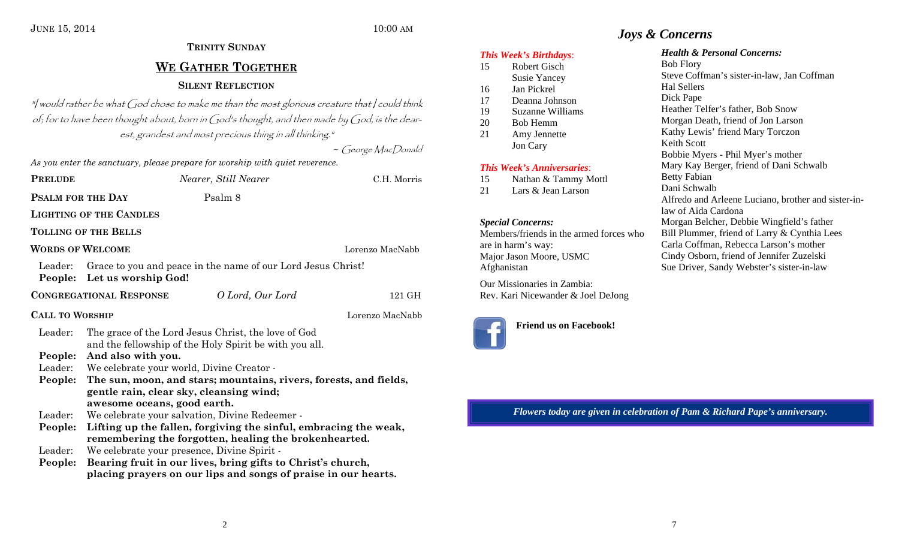# **TRINITY SUNDAYWE GATHER TOGETHER SILENT REFLECTION**

 $"I$  would rather be what God chose to make me than the most glorious creature that  $I$  could think of; for to have been thought about, born in God's thought, and then made by God, is the dearest, grandest and most precious thing in all thinking."

~ George MacDonald

*As you enter the sanctuary, please prepare for worship with quiet reverence.* 

| <b>PRELUDE</b>                                               |                                                                                                                           | Nearer, Still Nearer                                                                                           | C.H. Morris     |  |  |
|--------------------------------------------------------------|---------------------------------------------------------------------------------------------------------------------------|----------------------------------------------------------------------------------------------------------------|-----------------|--|--|
| PSALM FOR THE DAY                                            |                                                                                                                           | Psalm 8                                                                                                        |                 |  |  |
| <b>LIGHTING OF THE CANDLES</b>                               |                                                                                                                           |                                                                                                                |                 |  |  |
| <b>TOLLING OF THE BELLS</b>                                  |                                                                                                                           |                                                                                                                |                 |  |  |
| <b>WORDS OF WELCOME</b>                                      |                                                                                                                           |                                                                                                                | Lorenzo MacNabb |  |  |
| Leader:                                                      | Grace to you and peace in the name of our Lord Jesus Christ!<br>People: Let us worship God!                               |                                                                                                                |                 |  |  |
| O Lord, Our Lord<br><b>CONGREGATIONAL RESPONSE</b><br>121 GH |                                                                                                                           |                                                                                                                |                 |  |  |
| <b>CALL TO WORSHIP</b>                                       |                                                                                                                           | Lorenzo MacNabb                                                                                                |                 |  |  |
| Leader:                                                      | The grace of the Lord Jesus Christ, the love of God                                                                       |                                                                                                                |                 |  |  |
| People:<br>Leader:                                           | and the fellowship of the Holy Spirit be with you all.<br>And also with you.                                              |                                                                                                                |                 |  |  |
| People:                                                      |                                                                                                                           | We celebrate your world, Divine Creator -<br>The sun, moon, and stars; mountains, rivers, forests, and fields, |                 |  |  |
|                                                              | gentle rain, clear sky, cleansing wind;                                                                                   |                                                                                                                |                 |  |  |
|                                                              | awesome oceans, good earth.                                                                                               |                                                                                                                |                 |  |  |
| Leader:                                                      | We celebrate your salvation, Divine Redeemer -                                                                            |                                                                                                                |                 |  |  |
| People:                                                      | Lifting up the fallen, forgiving the sinful, embracing the weak,<br>remembering the forgotten, healing the brokenhearted. |                                                                                                                |                 |  |  |

Leader: We celebrate your presence, Divine Spirit -

**People: Bearing fruit in our lives, bring gifts to Christ's church, placing prayers on our lips and songs of praise in our hearts.** 

#### *This Week's Birthdays*:

| 15 | Robert Gisch                      |
|----|-----------------------------------|
|    | <b>Susie Yancey</b>               |
| 16 | <b>Jan Pickrel</b>                |
| 17 | Deanna Johnson                    |
| 19 | Suzanne Williams                  |
| 20 | <b>Bob Hemm</b>                   |
| 21 | Amy Jennette                      |
|    | <b>Jon Cary</b>                   |
|    | <b>This Week's Anniversaries:</b> |
| 15 | Nathan & Tammy Mottl              |
| 21 | Lars & Jean Larson                |
|    |                                   |
|    | <b>Special Concerns:</b>          |
|    | Members/friends in the armed ford |

ces who are in harm's way: Major Jason Moore, USMC Afghanistan

Our Missionaries in Zambia: Rev. Kari Nicewander & Joel DeJong



**Friend us on Facebook!** 

## *Health & Personal Concerns:*

*Joys & Concerns* 

Bob Flory Steve Coffman's sister-in-law, Jan Coffman Hal Sellers Dick Pape Heather Telfer's father, Bob Snow Morgan Death, friend of Jon Larson Kathy Lewis' friend Mary Torczon Keith Scott Bobbie Myers - Phil Myer's mother Mary Kay Berger, friend of Dani Schwalb Betty Fabian Dani Schwalb Alfredo and Arleene Luciano, brother and sister-inlaw of Aida Cardona Morgan Belcher, Debbie Wingfield's father Bill Plummer, friend of Larry & Cynthia Lees Carla Coffman, Rebecca Larson's mother Cindy Osborn, friend of Jennifer Zuzelski Sue Driver, Sandy Webster's sister-in-law

*Flowers today are given in celebration of Pam & Richard Pape's anniversary.*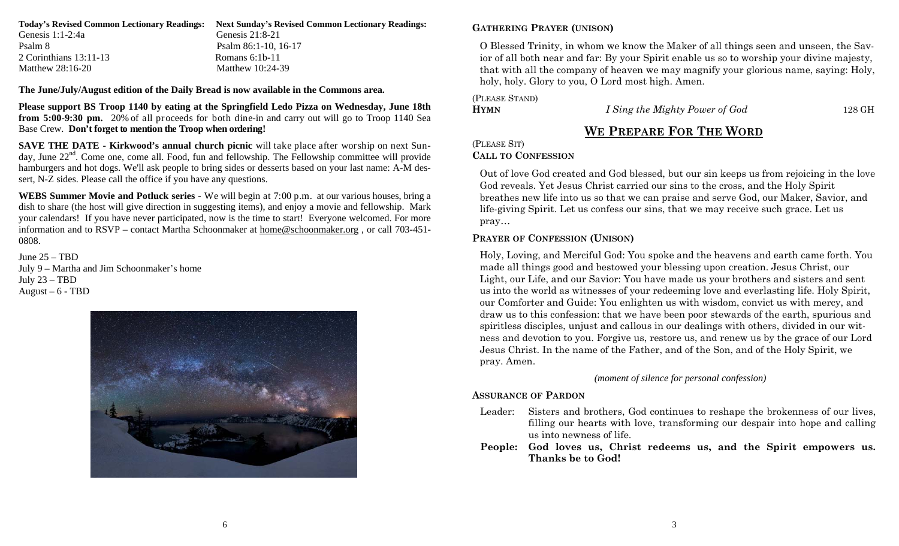| <b>Next Sunday's Revised Common Lectionary Readings:</b> |
|----------------------------------------------------------|
| Genesis $21:8-21$                                        |
| Psalm 86:1-10, 16-17                                     |
| Romans $6:1b-11$                                         |
| Matthew 10:24-39                                         |
|                                                          |

**The June/July/August edition of the Daily Bread is now available in the Commons area.** 

**Please support BS Troop 1140 by eating at the Springfield Ledo Pizza on Wednesday, June 18th from 5:00-9:30 pm.** 20% of all proceeds for both dine-in and carry out will go to Troop 1140 Sea Base Crew. **Don't forget to mention the Troop when ordering!** 

**SAVE THE DATE - Kirkwood's annual church picnic** will take place after worship on next Sunday, June 22<sup>nd</sup>. Come one, come all. Food, fun and fellowship. The Fellowship committee will provide hamburgers and hot dogs. We'll ask people to bring sides or desserts based on your last name: A-M dessert, N-Z sides. Please call the office if you have any questions.

**WEBS Summer Movie and Potluck series -** We will begin at 7:00 p.m. at our various houses, bring a dish to share (the host will give direction in suggesting items), and enjoy a movie and fellowship. Mark your calendars! If you have never participated, now is the time to start! Everyone welcomed. For more information and to RSVP – contact Martha Schoonmaker at home@schoonmaker.org , or call 703-451- 0808.

June 25 – TBD July 9 – Martha and Jim Schoonmaker's home July 23 – TBD August –  $6$  - TBD



### **GATHERING PRAYER (UNISON)**

O Blessed Trinity, in whom we know the Maker of all things seen and unseen, the Savior of all both near and far: By your Spirit enable us so to worship your divine majesty, that with all the company of heaven we may magnify your glorious name, saying: Holy, holy, holy. Glory to you, O Lord most high. Amen.

(PLEASE STAND)

**HYMN**

*I* Sing the Mighty Power of God 128 GH

# **WE PREPARE FOR THE WORD**

(PLEASE SIT)

### **CALL TO CONFESSION**

Out of love God created and God blessed, but our sin keeps us from rejoicing in the love God reveals. Yet Jesus Christ carried our sins to the cross, and the Holy Spirit breathes new life into us so that we can praise and serve God, our Maker, Savior, and life-giving Spirit. Let us confess our sins, that we may receive such grace. Let us pray…

### **PRAYER OF CONFESSION (UNISON)**

Holy, Loving, and Merciful God: You spoke and the heavens and earth came forth. You made all things good and bestowed your blessing upon creation. Jesus Christ, our Light, our Life, and our Savior: You have made us your brothers and sisters and sent us into the world as witnesses of your redeeming love and everlasting life. Holy Spirit, our Comforter and Guide: You enlighten us with wisdom, convict us with mercy, and draw us to this confession: that we have been poor stewards of the earth, spurious and spiritless disciples, unjust and callous in our dealings with others, divided in our witness and devotion to you. Forgive us, restore us, and renew us by the grace of our Lord Jesus Christ. In the name of the Father, and of the Son, and of the Holy Spirit, we pray. Amen.

#### *(moment of silence for personal confession)*

#### **ASSURANCE OF PARDON**

- Leader: Sisters and brothers, God continues to reshape the brokenness of our lives, filling our hearts with love, transforming our despair into hope and calling us into newness of life.
- **People: God loves us, Christ redeems us, and the Spirit empowers us. Thanks be to God!**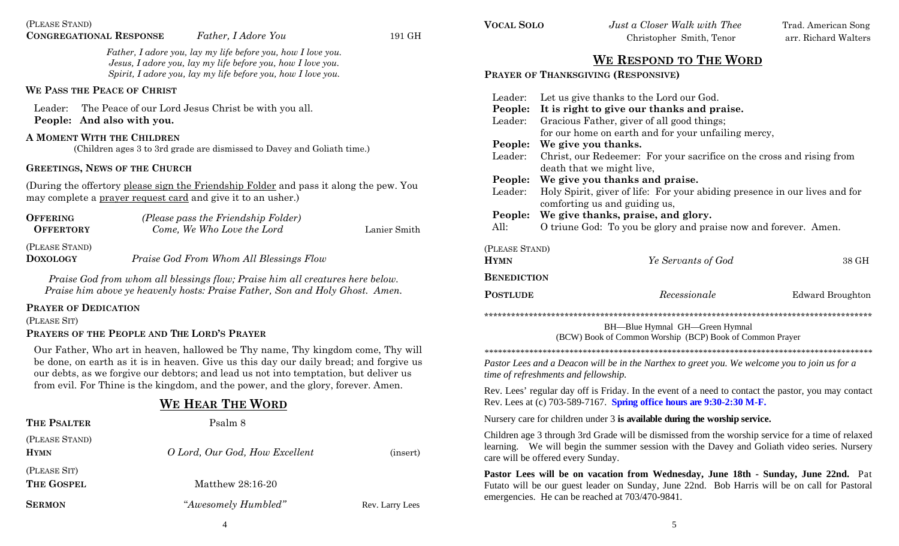*Father, I adore you, lay my life before you, how I love you. Jesus, I adore you, lay my life before you, how I love you. Spirit, I adore you, lay my life before you, how I love you.* 

#### **WE PASS THE PEACE OF CHRIST**

Leader: The Peace of our Lord Jesus Christ be with you all. **People: And also with you.**

#### **A MOMENT WITH THE CHILDREN**

(Children ages 3 to 3rd grade are dismissed to Davey and Goliath time.)

#### **GREETINGS, NEWS OF THE CHURCH**

(During the offertory please sign the Friendship Folder and pass it along the pew. You may complete a prayer request card and give it to an usher.)

| <b>OFFERING</b><br><b>OFFERTORY</b> | (Please pass the Friendship Folder)<br>Come, We Who Love the Lord | Lanier Smith |
|-------------------------------------|-------------------------------------------------------------------|--------------|
| (PLEASE STAND)<br><b>DOXOLOGY</b>   | Praise God From Whom All Blessings Flow                           |              |

*Praise God from whom all blessings flow; Praise him all creatures here below. Praise him above ye heavenly hosts: Praise Father, Son and Holy Ghost. Amen.* 

#### **PRAYER OF DEDICATION**

(PLEASE SIT)

#### **PRAYERS OF THE PEOPLE AND THE LORD'S PRAYER**

Our Father, Who art in heaven, hallowed be Thy name, Thy kingdom come, Thy will be done, on earth as it is in heaven. Give us this day our daily bread; and forgive us our debts, as we forgive our debtors; and lead us not into temptation, but deliver us from evil. For Thine is the kingdom, and the power, and the glory, forever. Amen.

# **WE HEAR THE WORD**

| THE PSALTER                   | Psalm 8                        |                 |
|-------------------------------|--------------------------------|-----------------|
| (PLEASE STAND)<br><b>HYMN</b> | O Lord, Our God, How Excellent | (insert)        |
| (PLEASE SIT)<br>THE GOSPEL    | Matthew 28:16-20               |                 |
| <b>SERMON</b>                 | "Awesomely Humbled"            | Rev. Larry Lees |

**VOCAL SOLO**

*Just a Closer Walk with Thee* Trad. American Song Christopher Smith, Tenor arr. Richard Walters

# **WE RESPOND TO THE WORD**

#### **PRAYER OF THANKSGIVING (RESPONSIVE)**

| Leader:<br>People:<br>Leader: | Let us give thanks to the Lord our God.<br>It is right to give our thanks and praise.<br>Gracious Father, giver of all good things;<br>for our home on earth and for your unfailing mercy, |                  |  |
|-------------------------------|--------------------------------------------------------------------------------------------------------------------------------------------------------------------------------------------|------------------|--|
| People:                       | We give you thanks.                                                                                                                                                                        |                  |  |
| Leader:                       | Christ, our Redeemer: For your sacrifice on the cross and rising from<br>death that we might live,                                                                                         |                  |  |
| People:                       | We give you thanks and praise.                                                                                                                                                             |                  |  |
| Leader:                       | Holy Spirit, giver of life: For your abiding presence in our lives and for<br>comforting us and guiding us,                                                                                |                  |  |
| People:                       | We give thanks, praise, and glory.                                                                                                                                                         |                  |  |
| All:                          | O triune God: To you be glory and praise now and forever. Amen.                                                                                                                            |                  |  |
| (PLEASE STAND)<br><b>HYMN</b> | Ye Servants of God                                                                                                                                                                         | 38 GH            |  |
| <b>BENEDICTION</b>            |                                                                                                                                                                                            |                  |  |
| <b>POSTLUDE</b>               | Recessionale                                                                                                                                                                               | Edward Broughton |  |
|                               |                                                                                                                                                                                            |                  |  |

BH—Blue Hymnal GH—Green Hymnal (BCW) Book of Common Worship (BCP) Book of Common Prayer

*\*\*\*\*\*\*\*\*\*\*\*\*\*\*\*\*\*\*\*\*\*\*\*\*\*\*\*\*\*\*\*\*\*\*\*\*\*\*\*\*\*\*\*\*\*\*\*\*\*\*\*\*\*\*\*\*\*\*\*\*\*\*\*\*\*\*\*\*\*\*\*\*\*\*\*\*\*\*\*\*\*\*\*\*\*\*\** 

*Pastor Lees and a Deacon will be in the Narthex to greet you. We welcome you to join us for a time of refreshments and fellowship.*

Rev. Lees' regular day off is Friday. In the event of a need to contact the pastor, you may contact Rev. Lees at (c) 703-589-7167. **Spring office hours are 9:30-2:30 M-F.**

Nursery care for children under 3 **is available during the worship service.** 

Children age 3 through 3rd Grade will be dismissed from the worship service for a time of relaxed learning. We will begin the summer session with the Davey and Goliath video series. Nursery care will be offered every Sunday.

**Pastor Lees will be on vacation from Wednesday, June 18th - Sunday, June 22nd.** Pat Futato will be our guest leader on Sunday, June 22nd. Bob Harris will be on call for Pastoral emergencies. He can be reached at 703/470-9841.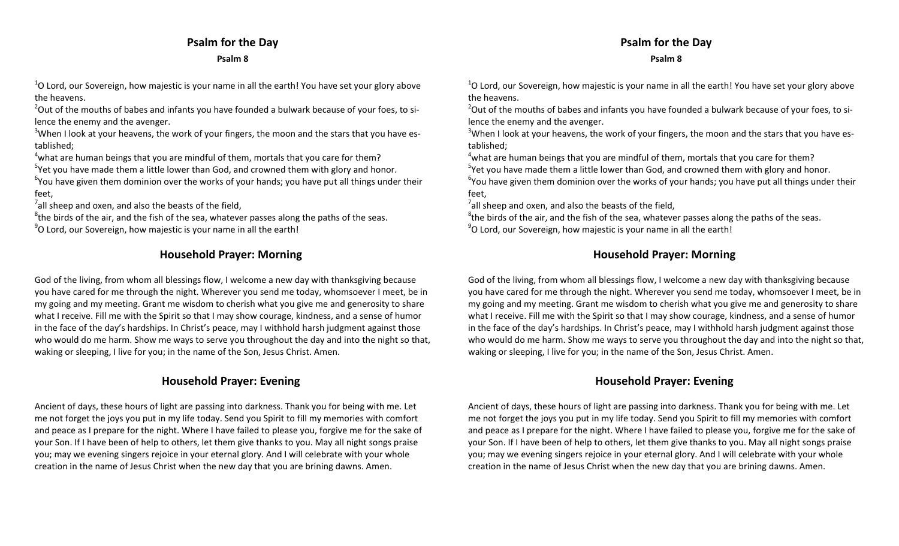# **Psalm for the Day Psalm 8**

 $^{1}$ O Lord, our Sovereign, how majestic is your name in all the earth! You have set your glory above the heavens.

 $^{2}$ Out of the mouths of babes and infants you have founded a bulwark because of your foes, to silence the enemy and the avenger.

 $3$ When I look at your heavens, the work of your fingers, the moon and the stars that you have established;

 $4$ what are human beings that you are mindful of them, mortals that you care for them?

<sup>5</sup>Yet you have made them a little lower than God, and crowned them with glory and honor.

 $^6$ You have given them dominion over the works of your hands; you have put all things under their feet,

 $^7$ all sheep and oxen, and also the beasts of the field,

 ${}^{8}$ the birds of the air, and the fish of the sea, whatever passes along the paths of the seas.  $^{9}$ O Lord, our Sovereign, how majestic is your name in all the earth!

# **Household Prayer: Morning**

God of the living, from whom all blessings flow, I welcome <sup>a</sup> new day with thanksgiving because you have cared for me through the night. Wherever you send me today, whomsoever I meet, be in my going and my meeting. Grant me wisdom to cherish what you give me and generosity to share what I receive. Fill me with the Spirit so that I may show courage, kindness, and <sup>a</sup> sense of humor in the face of the day's hardships. In Christ's peace, may I withhold harsh judgment against those who would do me harm. Show me ways to serve you throughout the day and into the night so that, waking or sleeping, I live for you; in the name of the Son, Jesus Christ. Amen.

# **Household Prayer: Evening**

Ancient of days, these hours of light are passing into darkness. Thank you for being with me. Let me not forget the joys you put in my life today. Send you Spirit to fill my memories with comfort and peace as I prepare for the night. Where I have failed to please you, forgive me for the sake of your Son. If I have been of help to others, let them give thanks to you. May all night songs praise you; may we evening singers rejoice in your eternal glory. And I will celebrate with your whole creation in the name of Jesus Christ when the new day that you are brining dawns. Amen.

 $^{1}$ O Lord, our Sovereign, how majestic is your name in all the earth! You have set your glory above the heavens.

 $^{2}$ Out of the mouths of babes and infants you have founded a bulwark because of your foes, to silence the enemy and the avenger.

 $3$ When I look at your heavens, the work of your fingers, the moon and the stars that you have established;

 $4$ what are human beings that you are mindful of them, mortals that you care for them? <sup>5</sup>Yet you have made them a little lower than God, and crowned them with glory and honor.

 $^6$ You have given them dominion over the works of your hands; you have put all things under their feet,

 $^7$ all sheep and oxen, and also the beasts of the field,

 ${}^{8}$ the birds of the air, and the fish of the sea, whatever passes along the paths of the seas.  $^{9}$ O Lord, our Sovereign, how majestic is your name in all the earth!

# **Household Prayer: Morning**

God of the living, from whom all blessings flow, I welcome <sup>a</sup> new day with thanksgiving because you have cared for me through the night. Wherever you send me today, whomsoever I meet, be in my going and my meeting. Grant me wisdom to cherish what you give me and generosity to share what I receive. Fill me with the Spirit so that I may show courage, kindness, and <sup>a</sup> sense of humor in the face of the day's hardships. In Christ's peace, may I withhold harsh judgment against those who would do me harm. Show me ways to serve you throughout the day and into the night so that, waking or sleeping, I live for you; in the name of the Son, Jesus Christ. Amen.

# **Household Prayer: Evening**

Ancient of days, these hours of light are passing into darkness. Thank you for being with me. Let me not forget the joys you put in my life today. Send you Spirit to fill my memories with comfort and peace as I prepare for the night. Where I have failed to please you, forgive me for the sake of your Son. If I have been of help to others, let them give thanks to you. May all night songs praise you; may we evening singers rejoice in your eternal glory. And I will celebrate with your whole creation in the name of Jesus Christ when the new day that you are brining dawns. Amen.